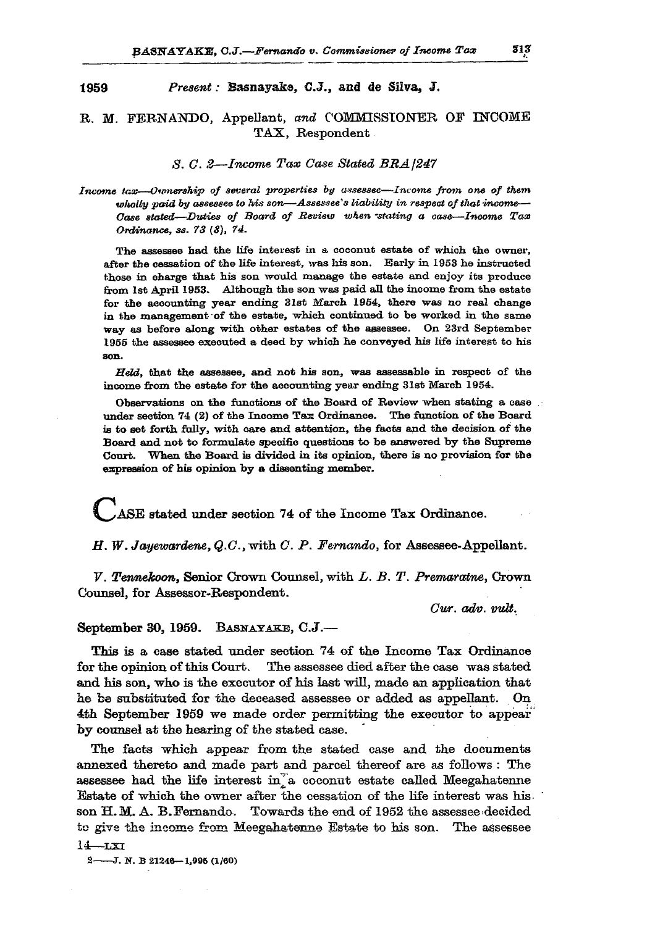## **1959** *Present:* **Basnayake, C.J., and de Silva, J.**

## **R. M. FERNANDO, Appellant,** *and* **COMMISSIONER OF INCOME TAX, Respondent**

*S. 0. 2—Income Tax Case Stated BRA 1241* 

*Income lose—Ownership of several properties by assessee—Income from one of them wholly paid by assessee to his son—Assessee's liability in respect of that income— Case stated—Ditties of Board of Beview when -stating a case—Income Tax Ordinance, ss. 73 (8), 74.* 

The assessee had the life interest in a coconut estate of which the owner, after the cessation of the life interest, was his son. Early in 1953 he instructed those in charge that his son would manage the estate and enjoy its produce from 1st April 1953. Although the son was paid all the income from the estate for the accounting year ending 31st March 1954, there was no real change in the management of the estate, which continued to be worked in the same way as before along with other estates of the assessee. On 23rd September 1955 the assessee executed a deed by which he conveyed his life interest to his son.

*Held,* that the assessee, and not his son, was assessable in respect of the income from the estate for the accounting year ending 31st March 1954.

Observations on the functions of the Board of Review when stating a case ... under section  $74$  (2) of the Income Tax Ordinance. The function of the Board is to set forth fully, with care and attention, the facts and the decision of the Board and not to formulate specific questions to be answered by the Supreme Court. When the Board is divided in its opinion, there is no provision for the expression of his opinion by a dissenting member.

**^!AS E stated under section 74 of the Income Tax Ordinance.** 

*H. W. Jayewardene, Q.C.,* **with** *C. P. Fernando,* **for Assessee-Appellant.** 

*V. Tennekoon,* **Senior Crown Counsel, with** *L. B. T. Premaratne,* **Crown Counsel, for Assessor-Respondent.** 

*Cur. adv. vuli.* 

**September 30, 1959. BASNAYAKE, C.J.—** 

**This is a case stated under section 74 of the Income Tax Ordinance for the opinion of this Court. The assessee died after the case was stated and his son, who is the executor of his last will, made an application that he be substituted for the deceased assessee or added as appellant. On 4th September 1959 we made order permitting the executor to appear by counsel at the hearing of the stated case.** 

**The facts which appear from the stated case and the documents annexed thereto and made part and parcel thereof are as follows : The**  assessee had the life interest in<sup>a</sup> coconut estate called Meegahatenne **Estate of which the owner after the cessation of the life interest was his. son H. M. A. B.Fernando. Towards the end of 1952 the assessee .decided to give the income from Meegahatenne Estate to his son. The assessee 14—LS I** 

**2 J. N . B 21248—1,996 (1/60)**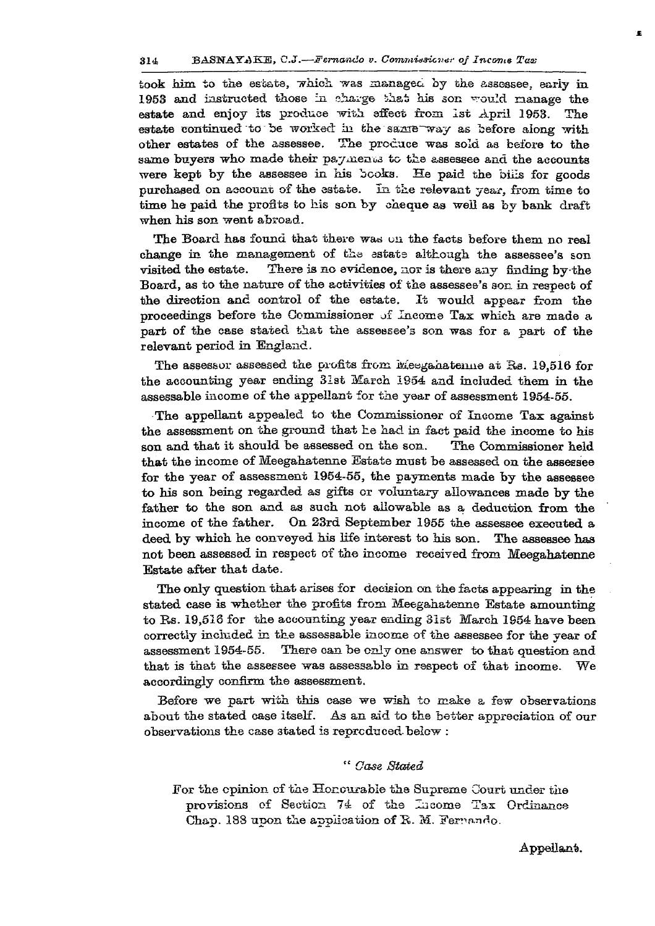## 314 BASNAYAKE, C.J.—*Mernando v. Commissicv^i' of Income Tax*

**took him** to **the** estate, **which was managed** by the **assessee. early** in **1953** and instructed those in charge that his son would manage the estate and enjoy its produce with effect from 1st April 1953. The estate continued to be worked in the same way as before along with other estates of the assessee. The produce was sold as before to the same buyers who made their paymenus to the assessee and the accounts **were kept by the assessee** in **his books.** He **paid the bills for goods purchased** on **account of the estate. In** the **relevant** year , **from time to time he paid the profits** to his **son** by **cheque as well as** by **bank draft when his son went abroad.** 

The Board has found that there was on the facts before them no real **change** in **the management** of the **estate although the assessee's son**  visited the estate. There is no evidence, nor is there any finding by the **Board, as** to **the nature** of **the activities** of **the assessee's son in respect** of **the direction and control** of **the estate.** It **would appear from the proceedings before the Commissioner of Income Tax which are made a part** of **the case stated** that **the assessee**'s **son was for a part** of **the relevant period** in **England.** 

The assessor assessed the profits from Meegahatenne at Rs. 19,516 for **the accounting year ending 31st March 1954 and included them** in **the assessable income** of **the appellant for** the **year** of **assessment 1954-55.** 

**The appellant appealed** to **the Commissioner** of **Income Tax against**  the assessment on the ground that he had in fact paid the income to his son **and that** it **should** be **assessed** on **the son. The Commissioner held that the income** of **Meegahatenne Estate must** be **assessed** on **the assessee for the year** of **assessment 1954-55, the payments made by the assessee**  to **his son being regarded as gifts or voluntary allowances made by the father to the son and as such not allowable as a deduction from the income** of **the father. On 23rd September 1955 the assessee executed a deed by which** he **conveyed his life interest** to **his son. The assessee has not been assessed** in **respect of the income received from Meegahatenne Estate after that date.** 

**The only question that arises for decision** on **the facts appearing** in **the stated case** is **whether the profits from Meegahatenne Estate amounting**  to Rs. **19,518 for the accounting year ending 31st March 1S54 have been correctly included in the assessable income of the assessee for the year** of **assessment 1954-55. There can** be **only one answer** to **that question and that** is **that the assessee was assessable in respect of that income.** We accordingly confirm the assessment.

**Before** we **part with this case** we **wish** to **make** a **few observations about the stated ease itself. As an aid** to **the better appreciation of our observations the case** 3tated is **reproduced.below :** 

## *" Case Stated*

**For the opinion of** the **Honourable the Supreme Court under** the **provisions of Section** 74 **of** the **laeome** Tax **Ordinance Chap. 188 upon** the **application** of **R. M. Fernando.** 

**Appellant.**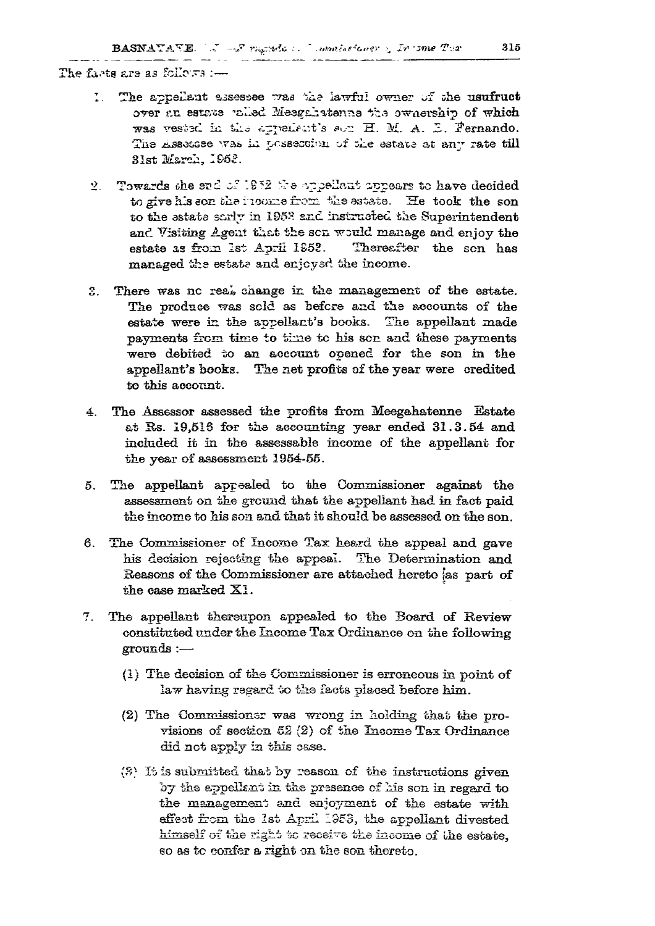**The fa.-'ts are** *as* **fcllp-s :—** 

- **1. The appellant ajsessee** *tt&b* **the lawful owner ~f she usufruct over f.n estate 'ailed Mee&f&hstenna** *\*?z&* **owviership of which**  was vested in the appelent's son H. M. A. D. Fernando. The Assessee was in possession of the estate at any rate till **31st March,**
- 2. Towards she sad of 1952 the appellant appears to have decided to give his son the neome from the estate. He took the son **to the estate ssrlv in 1952 and instructed the Superintendent and Visiting Agent that the sen would manage and enjoy the estate as from 1st April 1S52. Thereafter the sen has managed the estate and enjcysd the income.**
- **S. There was nc real, change in the management of the estate. The produce was sold as befcre and the accounts of the estate were in the appellant's books. The appellant made payments from time to time tc his sen and these payments were debited to an account opened for the son in the appellant's books. The net profits of the year were credited to this account.**
- **4. The Assessor assessed the profits from Meegahatenne Estate at Ss. 19,518 for the accounting year ended 31.3.54 and included it in the assessable income of the appellant for the year of assessment 1954-55.**
- **5. The appellant appealed to the Commissioner against the assessment on the ground that the appellant had in fact paid the income to his son and that it should be assessed on the son.**
- **6. The Commissioner of Income Tax heard the appeal and gave**  his decision rejecting the appeal. The Determination and **Seasons of the Commissioner are attached hereto [as part of the ease marked XI.**
- **7. The appellant thereupon appealed to the Board of Review constituted under the Income Tax Ordinance on the following grounds:—** 
	- **(1) The decision of the Conisnissioner is erroneous in point of**  law having regard to the facts placed before him.
	- **(2) The Commissionsr was wrong in holding that the pro**visions of section 52 (2) of the Income Tax Ordinance **did net apply in this esse.**
	- ( 8 ; **It is submitted that by reason of the infractions given**  by the appellant in the presence of his son in regard to the management and enjoyment of the estate with **effect from the 1st April**<sup>1953</sup> , **the appellant divested nmiseli ox tue ngJi***z* **tc rec6±~e the income of l/iie estate, so as to confer a right on the son thereto.**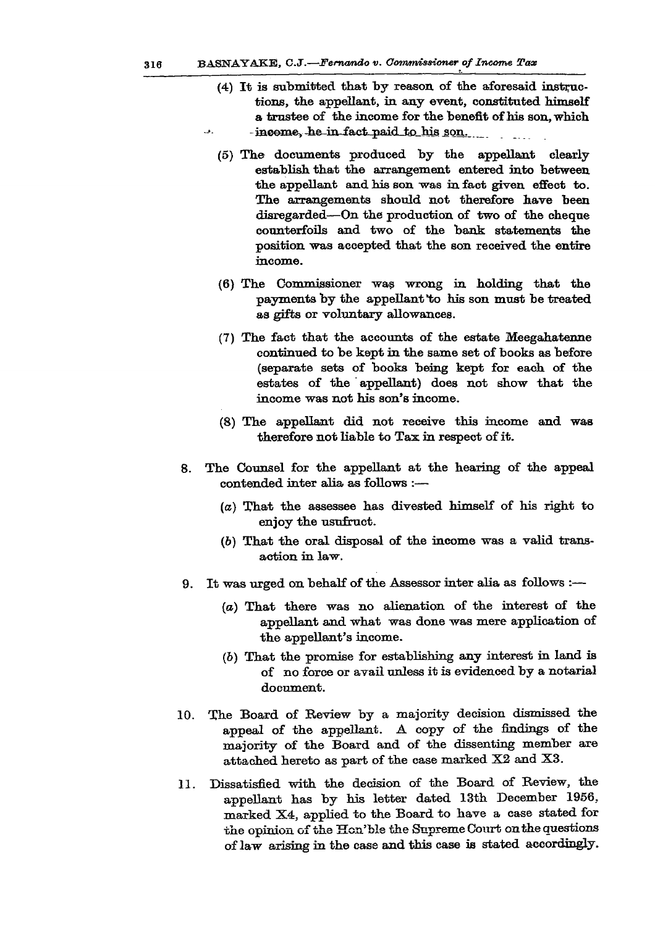- **(4) It is submitted that by reason of the aforesaid instructions, the appellant, in any event, constituted himself a trustee of the income for the benefit of his son, which**  -income, he in fact paid to his son.
	-
- **(5) The documents produced by the appellant clearly establish that the arrangement entered into between the appellant and his son was in fact given effect to. The arrangements should not therefore have been disregarded—On the production of two of the cheque counterfoils and two of the bank statements the position was accepted that the son received the entire income.**
- **(6) The Commissioner was wrong in holding that the payments by the appellant "to his son must be treated as gifts or voluntary allowances.**
- **(7) The fact that the accounts of the estate Meegahatenne continued to be kept in the same set of books as before (separate sets of books being kept for each of the estates of the appellant) does not show that the income was not his son's income.**
- **(8) The appellant did not receive this income and was therefore not liable to Tax in respect of it.**
- **8. The Counsel for the appellant at the hearing of the appeal contended inter alia as follows :—** 
	- *(a)* **That the assessee has divested himself of his right to enjoy the usufruct.**
	- **(6) That the oral disposal of the income was a valid transaction in law.**
- **9. It was urged on behalf of the Assessor inter alia as follows :—** 
	- *(a)* **That there was no alienation of the interest of the appellant and what was done was mere application of the appellant's income.**
	- *(b)* **That the promise for establishing any interest in land is of no force or avail unless it is evidenced by a notarial document.**
- **10. The Board of Review by a majority decision dismissed the appeal of the appellant. A copy of the findings of the majority of the Board and of the dissenting member are attached hereto as part of the case marked X2 and X3.**
- **11. Dissatisfied with the decision of the Board of Review, the appellant has by his letter dated 13th December 1956, marked X4, applied to the Board to have a case stated for the opinion of the Hon'ble the Supreme Court on the questions of law arising in the case and this case is stated accordingly.**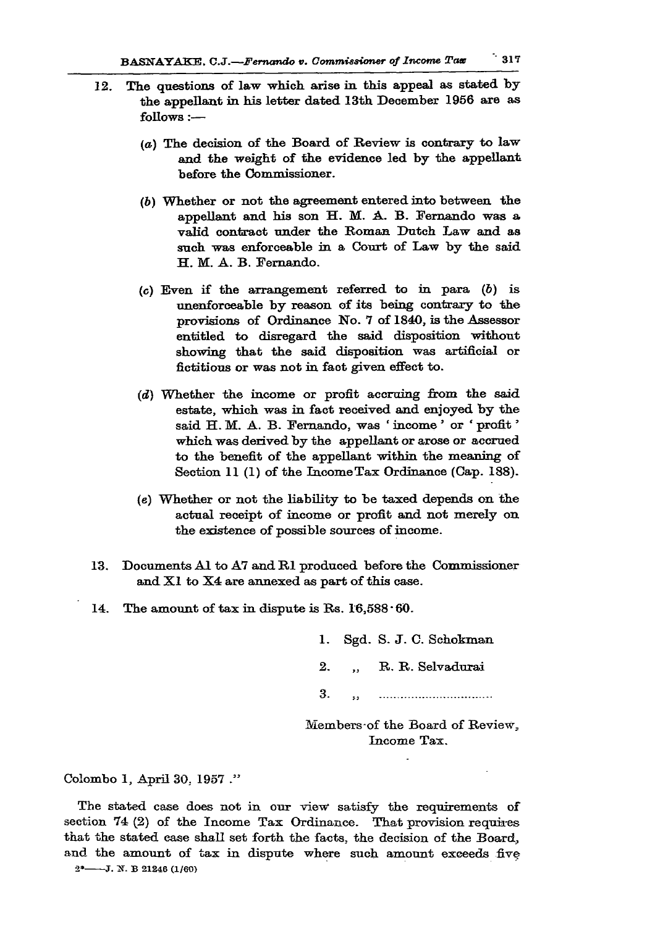- **12. The questions of law which arise in this appeal as stated by the appellant in his letter dated 13th December 1956 are as follows:—** 
	- *(a)* **The decision of the Board of Review is contrary to law and the weight of the evidence led by the appellant before the Commissioner.**
	- **(6) Whether or not the agreement entered into between the appellant and his son H. M. A. B. Fernando was a valid contract under the Roman Dutch Law and as such was enforceable in a Court of Law by the said H. M. A. B. Fernando.**
	- **(c) Even if the arrangement referred to in para (6) is unenforceable by reason of its being contrary to the provisions of Ordinance No. 7 of 1840, is the Assessor entitled to disregard the said disposition without showing that the said disposition was artificial or fictitious or was not in fact given effect to.**
	- *(d)* **Whether the income or profit accruing from the said estate, which was in fact received and enjoyed by the said H. M. A. B. Fernando, was ' income' or ' profit' which was derived by the appellant or arose or accrued to the benefit of the appellant within the meaning of Section 11 (1) of the Income Tax Ordinance (Cap. 188).**
	- **(e) Whether or not the liability to be taxed depends on the actual receipt of income or profit and not merely on the existence of possible sources of income.**
- **13. Documents Al to A7 and Rl produced before the Commissioner and XI to X4 are annexed as part of this case.**
- **14. The amount of tax in dispute is Rs. 16,588 60.**

**1. Sgd. S. J . C. Schokman**  2. R. R. Selvadurai **3.** .. 

Members of the Board of Review. **Income Tax.** 

**Colombo 1, April 30, 1957 ."** 

**The stated case does not in our view satisfy the requirements of section 74 (2) of the Income Tax Ordinance. That provision requires that the stated ease shall set forth the facts, the decision of the Board, and the amount of tax in dispute where such amount exceeds five 2 \* J. 2f. B 2124 6 (1/60)**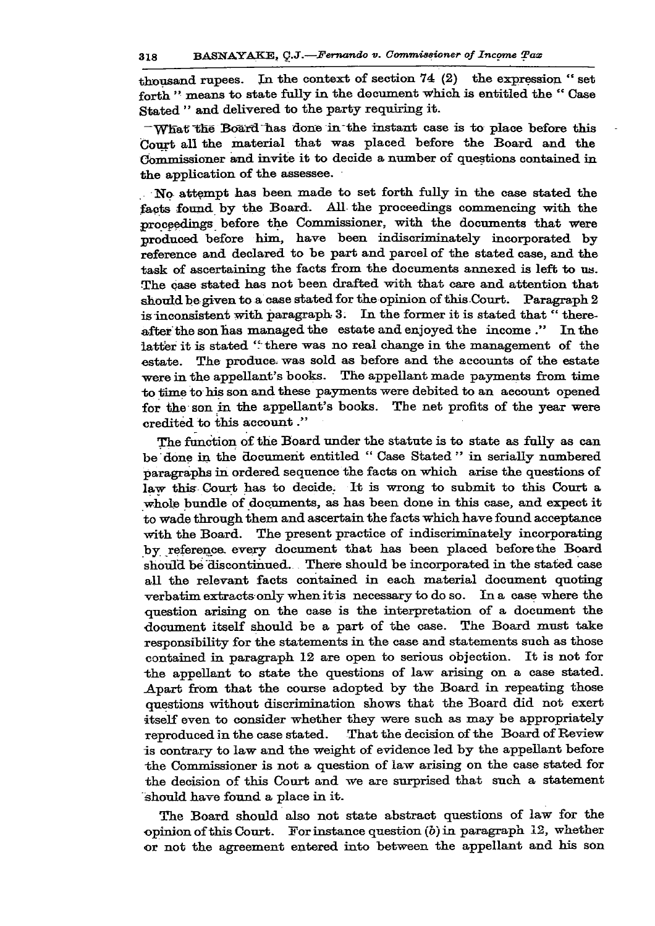**thousand rupees. In the context of section 74 (2) the expression " set forth " means to state fully in the document which is entitled the " Case Stated " and delivered to the party requiring it.** 

**"What" "the Board "has done inthe instant case is to place before this Court all the material that was placed before the Board and the Commissioner and invite it to decide a number of questions contained in the application of the assessee.** 

**No attempt has been made to set forth fully in the case stated the facts found by the Board. All the proceedings commencing with the**  proceedings before the Commissioner, with the documents that were **produced before him, have been mdiscriminately incorporated by reference and declared to be part and parcel of the stated case, and the task of ascertaining the facts from the documents annexed is left to us. The case stated has not been drafted with that care and attention that should be given to a case stated for theopinion of thisCourt. Paragraph 2 is inconsistent with paragraph 3. In the former it is stated that " thereafter the son has managed the estate and enjoyed the income." Inthe**  latter it is stated "there was no real change in the management of the **estate. The produce, was sold as before and the accounts of the estate were in the appellant's books. The appellant made payments from time to time to his son and these payments were debited to an aecount opened for the son in the appellant's books. The net profits of the year were credited to this account."** 

**The function of the Board under the statute is to state as fully as can be done in the document entitled " Case Stated " in serially numbered paragraphs in ordered sequence the facts on which arise the questions of law this Court has to decide. It is wrong to submit to this Court a whole bundle of documents, as has been done in this case, and expect it to wade through them and ascertain the facts which have found acceptance with the Board. The present practice of indiscriminately incorporating by referenca every document that has been placed before the Board should be discontinued. There should be incorporated in the stated case all the relevant facts contained in each material document quoting verbatim extracts only when it is necessary to do so. In a case where the question arising on the case is the interpretation of a document the document itself should be a part of the case. The Board must take responsibility for the statements in the case and statements such as those contained in paragraph 12 are open to serious objection. It is not for •the appellant to state the questions of law arising on a case stated. Apart from that the course adopted by the Board in repeating those questions without discrimination shows that the Board did not exert itself even to consider whether they were such as may be appropriately reproduced in the case stated. That the decision of the Board of Review is contrary to law and the weight of evidence led by the appellant before the Commissioner is not a question of law arising on the** Gase **stated for the decision of this Court and we are surprised that such a statement should have found a place in it.** 

**The Board should also not state abstract questions of law for the opinion of this Court. For instance question (o) in paragraph 12, whether or not the agreement entered into between the appellant and his son**